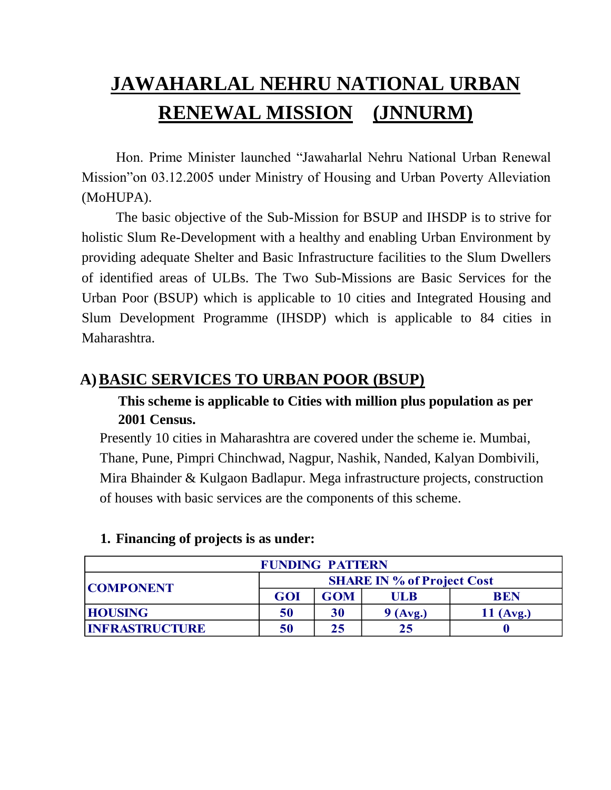# **JAWAHARLAL NEHRU NATIONAL URBAN RENEWAL MISSION (JNNURM)**

Hon. Prime Minister launched "Jawaharlal Nehru National Urban Renewal Mission"on 03.12.2005 under Ministry of Housing and Urban Poverty Alleviation (MoHUPA).

The basic objective of the Sub-Mission for BSUP and IHSDP is to strive for holistic Slum Re-Development with a healthy and enabling Urban Environment by providing adequate Shelter and Basic Infrastructure facilities to the Slum Dwellers of identified areas of ULBs. The Two Sub-Missions are Basic Services for the Urban Poor (BSUP) which is applicable to 10 cities and Integrated Housing and Slum Development Programme (IHSDP) which is applicable to 84 cities in Maharashtra.

# **A)BASIC SERVICES TO URBAN POOR (BSUP)**

# **This scheme is applicable to Cities with million plus population as per 2001 Census.**

Presently 10 cities in Maharashtra are covered under the scheme ie. Mumbai, Thane, Pune, Pimpri Chinchwad, Nagpur, Nashik, Nanded, Kalyan Dombivili, Mira Bhainder & Kulgaon Badlapur. Mega infrastructure projects, construction of houses with basic services are the components of this scheme.

| <b>FUNDING PATTERN</b> |                                   |            |            |             |  |  |
|------------------------|-----------------------------------|------------|------------|-------------|--|--|
| <b>COMPONENT</b>       | <b>SHARE IN % of Project Cost</b> |            |            |             |  |  |
|                        | <b>GOI</b>                        | <b>GOM</b> | UL B       | <b>BEN</b>  |  |  |
| <b>HOUSING</b>         | 50                                | 30         | $9$ (Avg.) | $11$ (Avg.) |  |  |
| <b>INFRASTRUCTURE</b>  | 50                                | 25         | 25         |             |  |  |

#### **1. Financing of projects is as under:**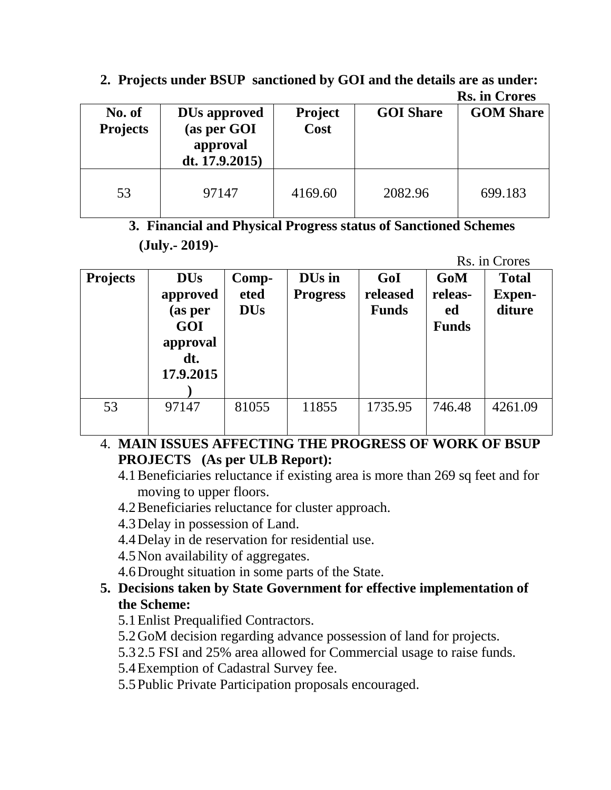|                           |                                                                  |                        |                  | <b>Rs. in Crores</b> |
|---------------------------|------------------------------------------------------------------|------------------------|------------------|----------------------|
| No. of<br><b>Projects</b> | <b>DUs approved</b><br>(as per GOI<br>approval<br>dt. 17.9.2015) | <b>Project</b><br>Cost | <b>GOI</b> Share | <b>GOM Share</b>     |
| 53                        | 97147                                                            | 4169.60                | 2082.96          | 699.183              |

# **2. Projects under BSUP sanctioned by GOI and the details are as under:**

# **3. Financial and Physical Progress status of Sanctioned Schemes (July.- 2019)-**

Rs. in Crores

| <b>Projects</b> | <b>DUs</b><br>approved<br>(as per<br>GOI<br>approval<br>dt.<br>17.9.2015 | Comp-<br>eted<br><b>DUs</b> | DU <sub>s</sub> in<br><b>Progress</b> | GoI<br>released<br><b>Funds</b> | <b>GoM</b><br>releas-<br>ed<br><b>Funds</b> | <b>Total</b><br><b>Expen-</b><br>diture |
|-----------------|--------------------------------------------------------------------------|-----------------------------|---------------------------------------|---------------------------------|---------------------------------------------|-----------------------------------------|
| 53              | 97147                                                                    | 81055                       | 11855                                 | 1735.95                         | 746.48                                      | 4261.09                                 |

# 4. **MAIN ISSUES AFFECTING THE PROGRESS OF WORK OF BSUP PROJECTS (As per ULB Report):**

- 4.1Beneficiaries reluctance if existing area is more than 269 sq feet and for moving to upper floors.
- 4.2Beneficiaries reluctance for cluster approach.
- 4.3Delay in possession of Land.
- 4.4Delay in de reservation for residential use.
- 4.5Non availability of aggregates.
- 4.6Drought situation in some parts of the State.

#### **5. Decisions taken by State Government for effective implementation of the Scheme:**

- 5.1Enlist Prequalified Contractors.
- 5.2GoM decision regarding advance possession of land for projects.
- 5.3 2.5 FSI and 25% area allowed for Commercial usage to raise funds.
- 5.4Exemption of Cadastral Survey fee.
- 5.5Public Private Participation proposals encouraged.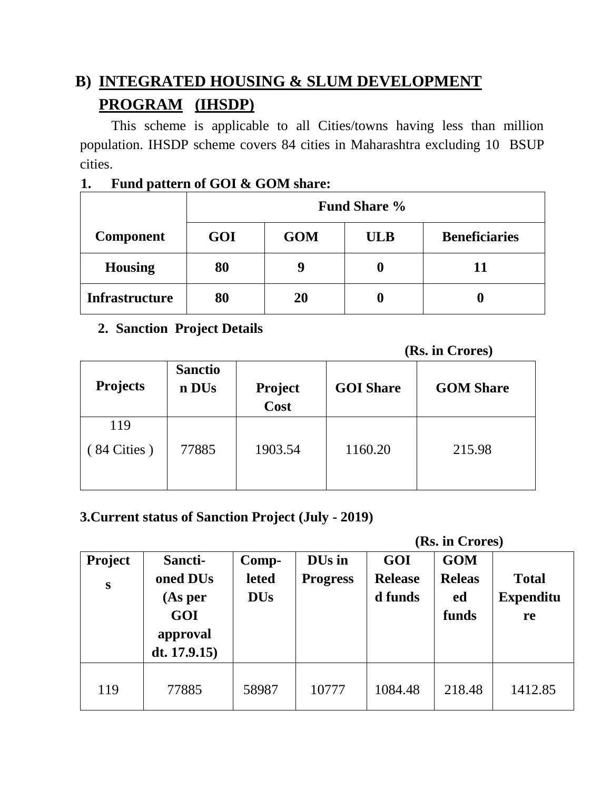# **B) INTEGRATED HOUSING & SLUM DEVELOPMENT PROGRAM (IHSDP)**

 This scheme is applicable to all Cities/towns having less than million population. IHSDP scheme covers 84 cities in Maharashtra excluding 10 BSUP cities.

#### **1. Fund pattern of GOI & GOM share:**

|                       | <b>Fund Share %</b> |            |            |                      |  |
|-----------------------|---------------------|------------|------------|----------------------|--|
| <b>Component</b>      | GOI                 | <b>GOM</b> | <b>ULB</b> | <b>Beneficiaries</b> |  |
| <b>Housing</b>        | 80                  |            | O          | 11                   |  |
| <b>Infrastructure</b> | 80                  | 20         | U          |                      |  |

# **2. Sanction Project Details**

 **(Rs. in Crores)**

| <b>Projects</b>              | <b>Sanctio</b><br>n DU <sub>s</sub> | <b>Project</b><br>Cost | <b>GOI</b> Share | <b>GOM Share</b> |  |
|------------------------------|-------------------------------------|------------------------|------------------|------------------|--|
| 119<br>$(84 \text{ Cities})$ | 77885                               | 1903.54                | 1160.20          | 215.98           |  |
|                              |                                     |                        |                  |                  |  |

#### **3.Current status of Sanction Project (July - 2019)**

 **(Rs. in Crores)**

| Project<br>S | Sancti-<br>oned DU <sub>s</sub><br>(As per<br>GOI<br>approval<br>dt. $17.9.15$ ) | Comp-<br>leted<br><b>DUs</b> | DU <sub>s</sub> in<br><b>Progress</b> | GOI<br><b>Release</b><br>d funds | <b>GOM</b><br><b>Releas</b><br>ed<br>funds | <b>Total</b><br><b>Expenditu</b><br>re |
|--------------|----------------------------------------------------------------------------------|------------------------------|---------------------------------------|----------------------------------|--------------------------------------------|----------------------------------------|
| 119          | 77885                                                                            | 58987                        | 10777                                 | 1084.48                          | 218.48                                     | 1412.85                                |